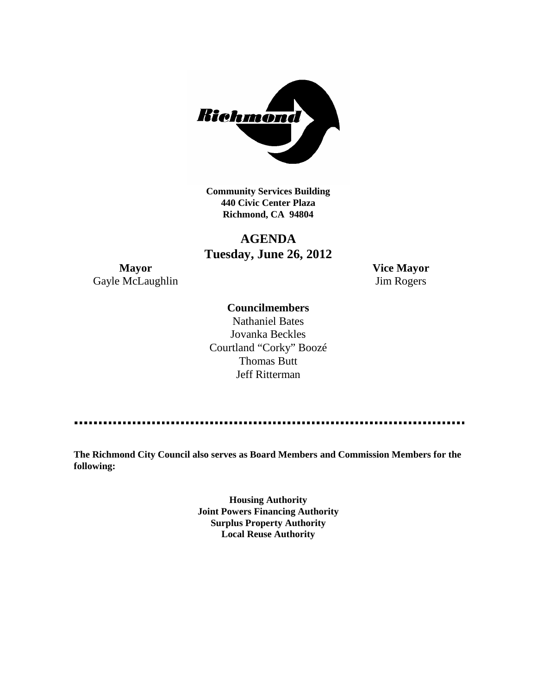

**Community Services Building 440 Civic Center Plaza Richmond, CA 94804**

# **AGENDA Tuesday, June 26, 2012**

**Mayor Vice Mayor** Gayle McLaughlin Jim Rogers

# **Councilmembers**

Nathaniel Bates Jovanka Beckles Courtland "Corky" Boozé Thomas Butt Jeff Ritterman

**The Richmond City Council also serves as Board Members and Commission Members for the following:**

> **Housing Authority Joint Powers Financing Authority Surplus Property Authority Local Reuse Authority**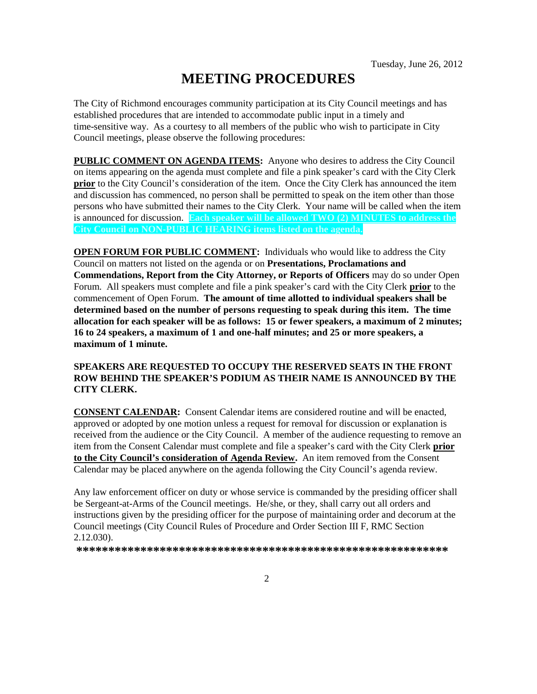# **MEETING PROCEDURES**

The City of Richmond encourages community participation at its City Council meetings and has established procedures that are intended to accommodate public input in a timely and time-sensitive way. As a courtesy to all members of the public who wish to participate in City Council meetings, please observe the following procedures:

**PUBLIC COMMENT ON AGENDA ITEMS:** Anyone who desires to address the City Council on items appearing on the agenda must complete and file a pink speaker's card with the City Clerk **prior** to the City Council's consideration of the item. Once the City Clerk has announced the item and discussion has commenced, no person shall be permitted to speak on the item other than those persons who have submitted their names to the City Clerk. Your name will be called when the item is announced for discussion. **Each speaker will be allowed TWO (2) MINUTES to address the City Council on NON-PUBLIC HEARING items listed on the agenda.**

**OPEN FORUM FOR PUBLIC COMMENT:** Individuals who would like to address the City Council on matters not listed on the agenda or on **Presentations, Proclamations and Commendations, Report from the City Attorney, or Reports of Officers** may do so under Open Forum. All speakers must complete and file a pink speaker's card with the City Clerk **prior** to the commencement of Open Forum. **The amount of time allotted to individual speakers shall be determined based on the number of persons requesting to speak during this item. The time allocation for each speaker will be as follows: 15 or fewer speakers, a maximum of 2 minutes; 16 to 24 speakers, a maximum of 1 and one-half minutes; and 25 or more speakers, a maximum of 1 minute.**

#### **SPEAKERS ARE REQUESTED TO OCCUPY THE RESERVED SEATS IN THE FRONT ROW BEHIND THE SPEAKER'S PODIUM AS THEIR NAME IS ANNOUNCED BY THE CITY CLERK.**

**CONSENT CALENDAR:** Consent Calendar items are considered routine and will be enacted, approved or adopted by one motion unless a request for removal for discussion or explanation is received from the audience or the City Council. A member of the audience requesting to remove an item from the Consent Calendar must complete and file a speaker's card with the City Clerk **prior to the City Council's consideration of Agenda Review.** An item removed from the Consent Calendar may be placed anywhere on the agenda following the City Council's agenda review.

Any law enforcement officer on duty or whose service is commanded by the presiding officer shall be Sergeant-at-Arms of the Council meetings. He/she, or they, shall carry out all orders and instructions given by the presiding officer for the purpose of maintaining order and decorum at the Council meetings (City Council Rules of Procedure and Order Section III F, RMC Section 2.12.030).

**\*\*\*\*\*\*\*\*\*\*\*\*\*\*\*\*\*\*\*\*\*\*\*\*\*\*\*\*\*\*\*\*\*\*\*\*\*\*\*\*\*\*\*\*\*\*\*\*\*\*\*\*\*\*\*\*\*\***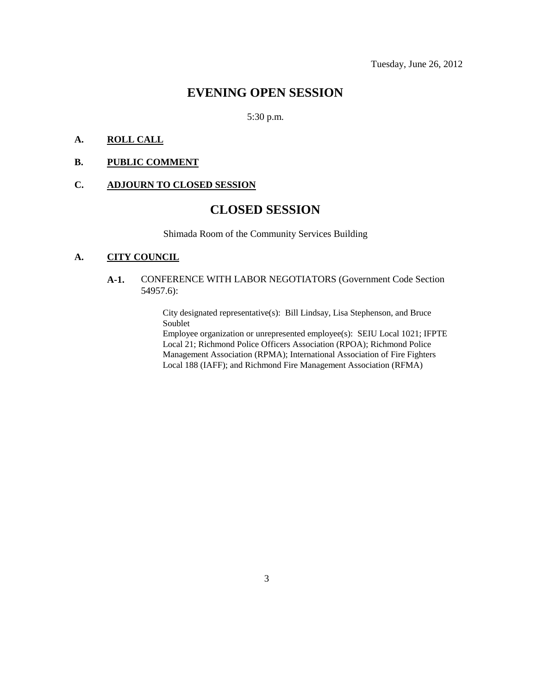# **EVENING OPEN SESSION**

## 5:30 p.m.

# **A. ROLL CALL**

#### **B. PUBLIC COMMENT**

# **C. ADJOURN TO CLOSED SESSION**

# **CLOSED SESSION**

Shimada Room of the Community Services Building

#### **A. CITY COUNCIL**

## **A-1.** CONFERENCE WITH LABOR NEGOTIATORS (Government Code Section 54957.6):

City designated representative(s): Bill Lindsay, Lisa Stephenson, and Bruce Soublet

Employee organization or unrepresented employee(s): SEIU Local 1021; IFPTE Local 21; Richmond Police Officers Association (RPOA); Richmond Police Management Association (RPMA); International Association of Fire Fighters Local 188 (IAFF); and Richmond Fire Management Association (RFMA)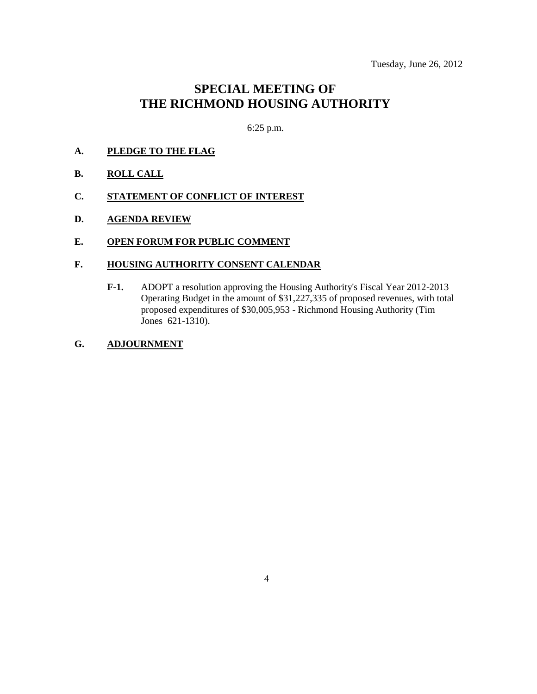# **SPECIAL MEETING OF THE RICHMOND HOUSING AUTHORITY**

6:25 p.m.

- **A. PLEDGE TO THE FLAG**
- **B. ROLL CALL**
- **C. STATEMENT OF CONFLICT OF INTEREST**
- **D. AGENDA REVIEW**

## **E. OPEN FORUM FOR PUBLIC COMMENT**

#### **F. HOUSING AUTHORITY CONSENT CALENDAR**

**F-1.** ADOPT a resolution approving the Housing Authority's Fiscal Year 2012-2013 Operating Budget in the amount of \$31,227,335 of proposed revenues, with total proposed expenditures of \$30,005,953 - Richmond Housing Authority (Tim Jones 621-1310).

# **G. ADJOURNMENT**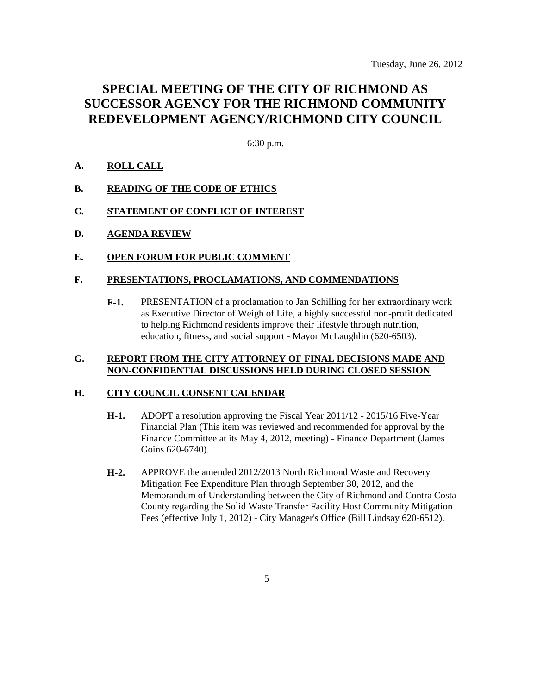# **SPECIAL MEETING OF THE CITY OF RICHMOND AS SUCCESSOR AGENCY FOR THE RICHMOND COMMUNITY REDEVELOPMENT AGENCY/RICHMOND CITY COUNCIL**

6:30 p.m.

## **A. ROLL CALL**

### **B. READING OF THE CODE OF ETHICS**

- **C. STATEMENT OF CONFLICT OF INTEREST**
- **D. AGENDA REVIEW**
- **E. OPEN FORUM FOR PUBLIC COMMENT**

#### **F. PRESENTATIONS, PROCLAMATIONS, AND COMMENDATIONS**

**F-1.** PRESENTATION of a proclamation to Jan Schilling for her extraordinary work as Executive Director of Weigh of Life, a highly successful non-profit dedicated to helping Richmond residents improve their lifestyle through nutrition, education, fitness, and social support - Mayor McLaughlin (620-6503).

#### **G. REPORT FROM THE CITY ATTORNEY OF FINAL DECISIONS MADE AND NON-CONFIDENTIAL DISCUSSIONS HELD DURING CLOSED SESSION**

#### **H. CITY COUNCIL CONSENT CALENDAR**

- **H-1.** ADOPT a resolution approving the Fiscal Year 2011/12 2015/16 Five-Year Financial Plan (This item was reviewed and recommended for approval by the Finance Committee at its May 4, 2012, meeting) - Finance Department (James Goins 620-6740).
- **H-2.** APPROVE the amended 2012/2013 North Richmond Waste and Recovery Mitigation Fee Expenditure Plan through September 30, 2012, and the Memorandum of Understanding between the City of Richmond and Contra Costa County regarding the Solid Waste Transfer Facility Host Community Mitigation Fees (effective July 1, 2012) - City Manager's Office (Bill Lindsay 620-6512).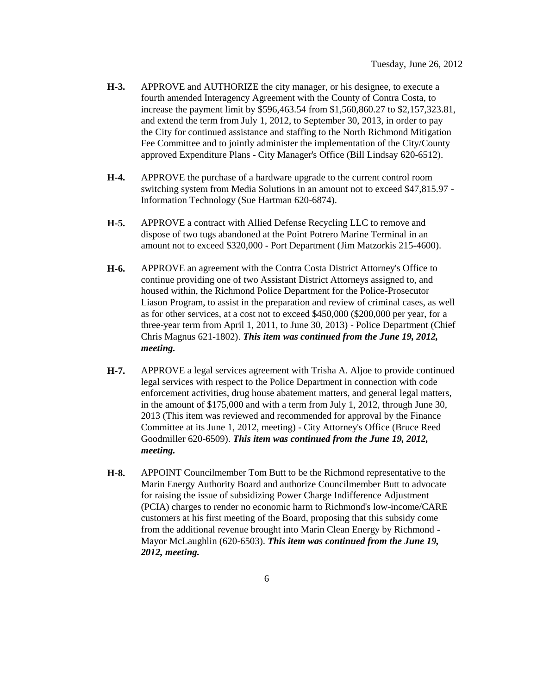- **H-3.** APPROVE and AUTHORIZE the city manager, or his designee, to execute a fourth amended Interagency Agreement with the County of Contra Costa, to increase the payment limit by \$596,463.54 from \$1,560,860.27 to \$2,157,323.81, and extend the term from July 1, 2012, to September 30, 2013, in order to pay the City for continued assistance and staffing to the North Richmond Mitigation Fee Committee and to jointly administer the implementation of the City/County approved Expenditure Plans - City Manager's Office (Bill Lindsay 620-6512).
- **H-4.** APPROVE the purchase of a hardware upgrade to the current control room switching system from Media Solutions in an amount not to exceed \$47,815.97 - Information Technology (Sue Hartman 620-6874).
- **H-5.** APPROVE a contract with Allied Defense Recycling LLC to remove and dispose of two tugs abandoned at the Point Potrero Marine Terminal in an amount not to exceed \$320,000 - Port Department (Jim Matzorkis 215-4600).
- **H-6.** APPROVE an agreement with the Contra Costa District Attorney's Office to continue providing one of two Assistant District Attorneys assigned to, and housed within, the Richmond Police Department for the Police-Prosecutor Liason Program, to assist in the preparation and review of criminal cases, as well as for other services, at a cost not to exceed \$450,000 (\$200,000 per year, for a three-year term from April 1, 2011, to June 30, 2013) - Police Department (Chief Chris Magnus 621-1802). *This item was continued from the June 19, 2012, meeting.*
- **H-7.** APPROVE a legal services agreement with Trisha A. Aljoe to provide continued legal services with respect to the Police Department in connection with code enforcement activities, drug house abatement matters, and general legal matters, in the amount of \$175,000 and with a term from July 1, 2012, through June 30, 2013 (This item was reviewed and recommended for approval by the Finance Committee at its June 1, 2012, meeting) - City Attorney's Office (Bruce Reed Goodmiller 620-6509). *This item was continued from the June 19, 2012, meeting.*
- **H-8.** APPOINT Councilmember Tom Butt to be the Richmond representative to the Marin Energy Authority Board and authorize Councilmember Butt to advocate for raising the issue of subsidizing Power Charge Indifference Adjustment (PCIA) charges to render no economic harm to Richmond's low-income/CARE customers at his first meeting of the Board, proposing that this subsidy come from the additional revenue brought into Marin Clean Energy by Richmond - Mayor McLaughlin (620-6503). *This item was continued from the June 19, 2012, meeting.*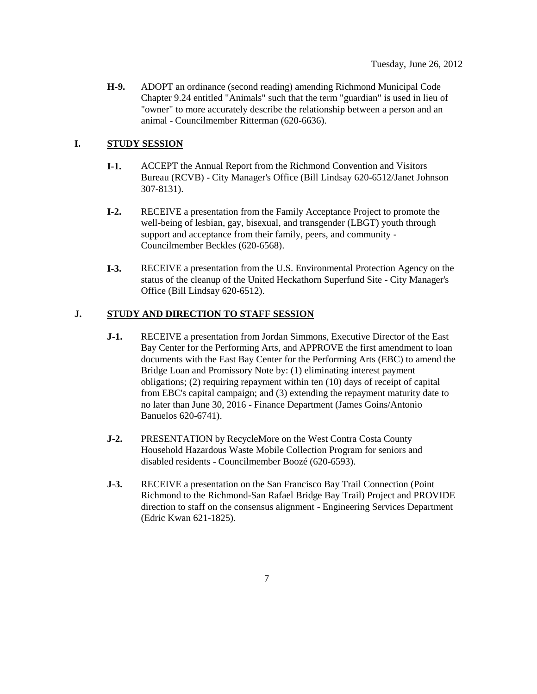**H-9.** ADOPT an ordinance (second reading) amending Richmond Municipal Code Chapter 9.24 entitled "Animals" such that the term "guardian" is used in lieu of "owner" to more accurately describe the relationship between a person and an animal - Councilmember Ritterman (620-6636).

# **I. STUDY SESSION**

- **I-1.** ACCEPT the Annual Report from the Richmond Convention and Visitors Bureau (RCVB) - City Manager's Office (Bill Lindsay 620-6512/Janet Johnson 307-8131).
- **I-2.** RECEIVE a presentation from the Family Acceptance Project to promote the well-being of lesbian, gay, bisexual, and transgender (LBGT) youth through support and acceptance from their family, peers, and community - Councilmember Beckles (620-6568).
- **I-3.** RECEIVE a presentation from the U.S. Environmental Protection Agency on the status of the cleanup of the United Heckathorn Superfund Site - City Manager's Office (Bill Lindsay 620-6512).

# **J. STUDY AND DIRECTION TO STAFF SESSION**

- **J-1.** RECEIVE a presentation from Jordan Simmons, Executive Director of the East Bay Center for the Performing Arts, and APPROVE the first amendment to loan documents with the East Bay Center for the Performing Arts (EBC) to amend the Bridge Loan and Promissory Note by: (1) eliminating interest payment obligations; (2) requiring repayment within ten (10) days of receipt of capital from EBC's capital campaign; and (3) extending the repayment maturity date to no later than June 30, 2016 - Finance Department (James Goins/Antonio Banuelos 620-6741).
- **J-2.** PRESENTATION by RecycleMore on the West Contra Costa County Household Hazardous Waste Mobile Collection Program for seniors and disabled residents - Councilmember Boozé (620-6593).
- **J-3.** RECEIVE a presentation on the San Francisco Bay Trail Connection (Point Richmond to the Richmond-San Rafael Bridge Bay Trail) Project and PROVIDE direction to staff on the consensus alignment - Engineering Services Department (Edric Kwan 621-1825).